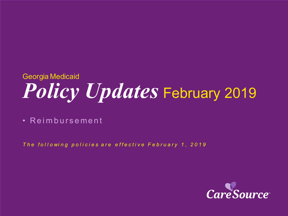# *Policy Updates* February 2019 Georgia Medicaid

• Reimbursement

*T h e f o l l o wi n g p o l i c i e s a r e e f f e c t i v e February 1 , 2019*

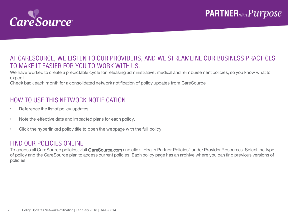

### AT CARESOURCE, WE LISTEN TO OUR PROVIDERS, AND WE STREAMLINE OUR BUSINESS PRACTICES TO MAKE IT EASIER FOR YOU TO WORK WITH US.

We have worked to create a predictable cycle for releasing administrative, medical and reimbursement policies, so you know what to expect.

Check back each month for a consolidated network notification of policy updates from CareSource.

### HOW TO USE THIS NETWORK NOTIFICATION

- Reference the list of policy updates.
- Note the effective date and impacted plans for each policy.
- Click the hyperlinked policy title to open the webpage with the full policy.

#### FIND OUR POLICIES ONLINE

To access all CareSource policies, visit CareSource.com and click "Health Partner Policies" under Provider Resources. Select the type of policy and the CareSource plan to access current policies. Each policy page has an archive where you can find previous versions of policies.